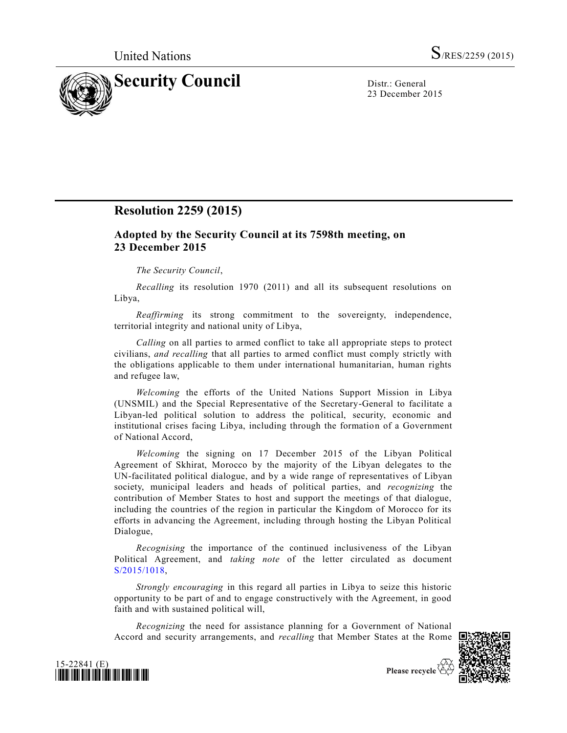

23 December 2015

## **Resolution 2259 (2015)**

## **Adopted by the Security Council at its 7598th meeting, on 23 December 2015**

## *The Security Council*,

*Recalling* its resolution 1970 (2011) and all its subsequent resolutions on Libya,

*Reaffirming* its strong commitment to the sovereignty, independence, territorial integrity and national unity of Libya,

*Calling* on all parties to armed conflict to take all appropriate steps to protect civilians, *and recalling* that all parties to armed conflict must comply strictly with the obligations applicable to them under international humanitarian, human rights and refugee law,

*Welcoming* the efforts of the United Nations Support Mission in Libya (UNSMIL) and the Special Representative of the Secretary-General to facilitate a Libyan-led political solution to address the political, security, economic and institutional crises facing Libya, including through the formation of a Government of National Accord,

*Welcoming* the signing on 17 December 2015 of the Libyan Political Agreement of Skhirat, Morocco by the majority of the Libyan delegates to the UN-facilitated political dialogue, and by a wide range of representatives of Libyan society, municipal leaders and heads of political parties, and *recognizing* the contribution of Member States to host and support the meetings of that dialogue, including the countries of the region in particular the Kingdom of Morocco for its efforts in advancing the Agreement, including through hosting the Libyan Political Dialogue,

*Recognising* the importance of the continued inclusiveness of the Libyan Political Agreement, and *taking note* of the letter circulated as document [S/2015/1018,](http://undocs.org/S/2015/1018)

*Strongly encouraging* in this regard all parties in Libya to seize this historic opportunity to be part of and to engage constructively with the Agreement, in good faith and with sustained political will,

*Recognizing* the need for assistance planning for a Government of National Accord and security arrangements, and *recalling* that Member States at the Rome





Please recycle  $\overline{\mathfrak{S}}$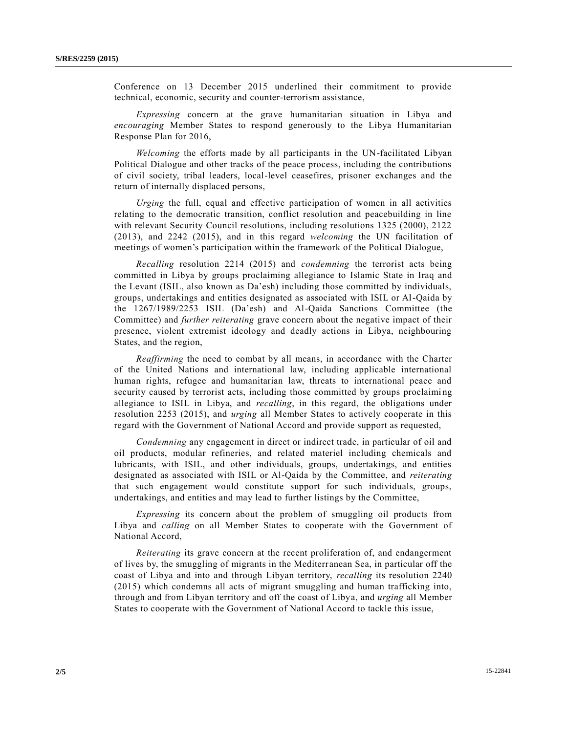Conference on 13 December 2015 underlined their commitment to provide technical, economic, security and counter-terrorism assistance,

*Expressing* concern at the grave humanitarian situation in Libya and *encouraging* Member States to respond generously to the Libya Humanitarian Response Plan for 2016,

*Welcoming* the efforts made by all participants in the UN-facilitated Libyan Political Dialogue and other tracks of the peace process, including the contributions of civil society, tribal leaders, local-level ceasefires, prisoner exchanges and the return of internally displaced persons,

*Urging* the full, equal and effective participation of women in all activities relating to the democratic transition, conflict resolution and peacebuilding in line with relevant Security Council resolutions, including resolutions 1325 (2000), 2122 (2013), and 2242 (2015), and in this regard *welcoming* the UN facilitation of meetings of women's participation within the framework of the Political Dialogue,

*Recalling* resolution 2214 (2015) and *condemning* the terrorist acts being committed in Libya by groups proclaiming allegiance to Islamic State in Iraq and the Levant (ISIL, also known as Da'esh) including those committed by individuals, groups, undertakings and entities designated as associated with ISIL or Al-Qaida by the 1267/1989/2253 ISIL (Da'esh) and Al-Qaida Sanctions Committee (the Committee) and *further reiterating* grave concern about the negative impact of their presence, violent extremist ideology and deadly actions in Libya, neighbouring States, and the region,

*Reaffirming* the need to combat by all means, in accordance with the Charter of the United Nations and international law, including applicable international human rights, refugee and humanitarian law, threats to international peace and security caused by terrorist acts, including those committed by groups proclaimi ng allegiance to ISIL in Libya, and *recalling*, in this regard, the obligations under resolution 2253 (2015), and *urging* all Member States to actively cooperate in this regard with the Government of National Accord and provide support as requested,

*Condemning* any engagement in direct or indirect trade, in particular of oil and oil products, modular refineries, and related materiel including chemicals and lubricants, with ISIL, and other individuals, groups, undertakings, and entities designated as associated with ISIL or Al-Qaida by the Committee, and *reiterating* that such engagement would constitute support for such individuals, groups, undertakings, and entities and may lead to further listings by the Committee,

*Expressing* its concern about the problem of smuggling oil products from Libya and *calling* on all Member States to cooperate with the Government of National Accord,

*Reiterating* its grave concern at the recent proliferation of, and endangerment of lives by, the smuggling of migrants in the Mediterranean Sea, in particular off the coast of Libya and into and through Libyan territory, *recalling* its resolution 2240 (2015) which condemns all acts of migrant smuggling and human trafficking into, through and from Libyan territory and off the coast of Libya, and *urging* all Member States to cooperate with the Government of National Accord to tackle this issue,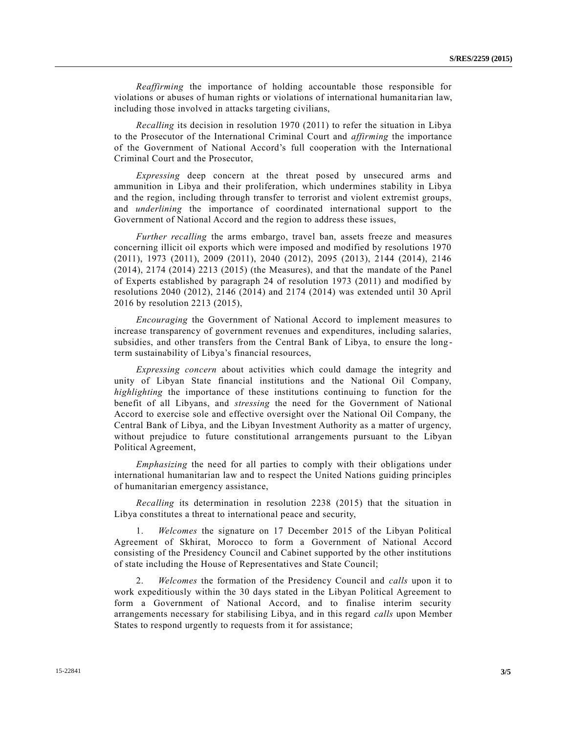*Reaffirming* the importance of holding accountable those responsible for violations or abuses of human rights or violations of international humanita rian law, including those involved in attacks targeting civilians,

*Recalling* its decision in resolution 1970 (2011) to refer the situation in Libya to the Prosecutor of the International Criminal Court and *affirming* the importance of the Government of National Accord's full cooperation with the International Criminal Court and the Prosecutor,

*Expressing* deep concern at the threat posed by unsecured arms and ammunition in Libya and their proliferation, which undermines stability in Libya and the region, including through transfer to terrorist and violent extremist groups, and *underlining* the importance of coordinated international support to the Government of National Accord and the region to address these issues,

*Further recalling* the arms embargo, travel ban, assets freeze and measures concerning illicit oil exports which were imposed and modified by resolutions 1970 (2011), 1973 (2011), 2009 (2011), 2040 (2012), 2095 (2013), 2144 (2014), 2146 (2014), 2174 (2014) 2213 (2015) (the Measures), and that the mandate of the Panel of Experts established by paragraph 24 of resolution 1973 (2011) and modified by resolutions 2040 (2012), 2146 (2014) and 2174 (2014) was extended until 30 April 2016 by resolution 2213 (2015),

*Encouraging* the Government of National Accord to implement measures to increase transparency of government revenues and expenditures, including salaries, subsidies, and other transfers from the Central Bank of Libya, to ensure the long term sustainability of Libya's financial resources,

*Expressing concern* about activities which could damage the integrity and unity of Libyan State financial institutions and the National Oil Company, *highlighting* the importance of these institutions continuing to function for the benefit of all Libyans, and *stressing* the need for the Government of National Accord to exercise sole and effective oversight over the National Oil Company, the Central Bank of Libya, and the Libyan Investment Authority as a matter of urgency, without prejudice to future constitutional arrangements pursuant to the Libyan Political Agreement,

*Emphasizing* the need for all parties to comply with their obligations under international humanitarian law and to respect the United Nations guiding principles of humanitarian emergency assistance,

*Recalling* its determination in resolution 2238 (2015) that the situation in Libya constitutes a threat to international peace and security,

1. *Welcomes* the signature on 17 December 2015 of the Libyan Political Agreement of Skhirat, Morocco to form a Government of National Accord consisting of the Presidency Council and Cabinet supported by the other institutions of state including the House of Representatives and State Council;

2. *Welcomes* the formation of the Presidency Council and *calls* upon it to work expeditiously within the 30 days stated in the Libyan Political Agreement to form a Government of National Accord, and to finalise interim security arrangements necessary for stabilising Libya, and in this regard *calls* upon Member States to respond urgently to requests from it for assistance;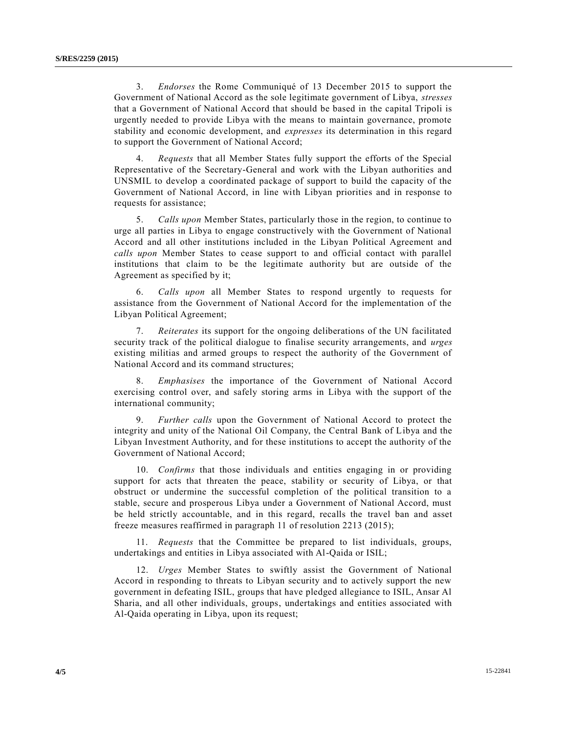3. *Endorses* the Rome Communiqué of 13 December 2015 to support the Government of National Accord as the sole legitimate government of Libya, *stresses* that a Government of National Accord that should be based in the capital Tripoli is urgently needed to provide Libya with the means to maintain governance, promote stability and economic development, and *expresses* its determination in this regard to support the Government of National Accord;

4. *Requests* that all Member States fully support the efforts of the Special Representative of the Secretary-General and work with the Libyan authorities and UNSMIL to develop a coordinated package of support to build the capacity of the Government of National Accord, in line with Libyan priorities and in response to requests for assistance;

5. *Calls upon* Member States, particularly those in the region, to continue to urge all parties in Libya to engage constructively with the Government of National Accord and all other institutions included in the Libyan Political Agreement and *calls upon* Member States to cease support to and official contact with parallel institutions that claim to be the legitimate authority but are outside of the Agreement as specified by it;

6. *Calls upon* all Member States to respond urgently to requests for assistance from the Government of National Accord for the implementation of the Libyan Political Agreement;

7. *Reiterates* its support for the ongoing deliberations of the UN facilitated security track of the political dialogue to finalise security arrangements, and *urges* existing militias and armed groups to respect the authority of the Government of National Accord and its command structures;

8. *Emphasises* the importance of the Government of National Accord exercising control over, and safely storing arms in Libya with the support of the international community;

9. *Further calls* upon the Government of National Accord to protect the integrity and unity of the National Oil Company, the Central Bank of Libya and the Libyan Investment Authority, and for these institutions to accept the authority of the Government of National Accord;

10. *Confirms* that those individuals and entities engaging in or providing support for acts that threaten the peace, stability or security of Libya, or that obstruct or undermine the successful completion of the political transition to a stable, secure and prosperous Libya under a Government of National Accord, must be held strictly accountable, and in this regard, recalls the travel ban and asset freeze measures reaffirmed in paragraph 11 of resolution 2213 (2015);

11. *Requests* that the Committee be prepared to list individuals, groups, undertakings and entities in Libya associated with Al-Qaida or ISIL;

12. *Urges* Member States to swiftly assist the Government of National Accord in responding to threats to Libyan security and to actively support the new government in defeating ISIL, groups that have pledged allegiance to ISIL, Ansar Al Sharia, and all other individuals, groups, undertakings and entities associated with Al-Qaida operating in Libya, upon its request;